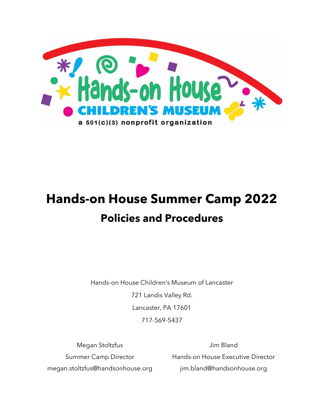

# **Hands-on House Summer Camp 2022 Policies and Procedures**

Hands-on House Children's Museum of Lancaster 721 Landis Valley Rd. Lancaster, PA 17601 717-569-5437

Megan Stoltzfus Summer Camp Director megan.stoltzfus@handsonhouse.org

Jim Bland Hands-on House Executive Director jim.bland@handsonhouse.org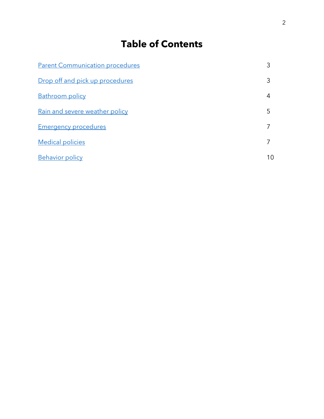# **Table of Contents**

| <b>Parent Communication procedures</b> |    |
|----------------------------------------|----|
| Drop off and pick up procedures        | 3  |
| <b>Bathroom policy</b>                 | 4  |
| <u>Rain and severe weather policy</u>  | 5  |
| <b>Emergency procedures</b>            |    |
| <b>Medical policies</b>                |    |
| <b>Behavior policy</b>                 | 10 |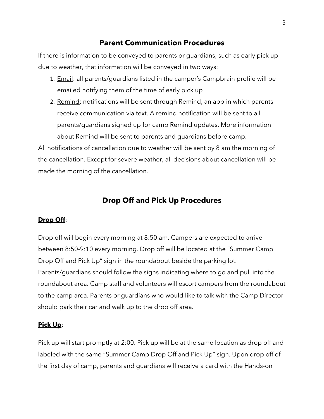# **Parent Communication Procedures**

<span id="page-2-0"></span>If there is information to be conveyed to parents or guardians, such as early pick up due to weather, that information will be conveyed in two ways:

- 1. Email: all parents/quardians listed in the camper's Campbrain profile will be emailed notifying them of the time of early pick up
- 2. Remind: notifications will be sent through Remind, an app in which parents receive communication via text. A remind notification will be sent to all parents/guardians signed up for camp Remind updates. More information about Remind will be sent to parents and guardians before camp.

All notifications of cancellation due to weather will be sent by 8 am the morning of the cancellation. Except for severe weather, all decisions about cancellation will be made the morning of the cancellation.

# **Drop Off and Pick Up Procedures**

# <span id="page-2-1"></span>**Drop Off**:

Drop off will begin every morning at 8:50 am. Campers are expected to arrive between 8:50-9:10 every morning. Drop off will be located at the "Summer Camp Drop Off and Pick Up" sign in the roundabout beside the parking lot. Parents/guardians should follow the signs indicating where to go and pull into the roundabout area. Camp staff and volunteers will escort campers from the roundabout to the camp area. Parents or guardians who would like to talk with the Camp Director should park their car and walk up to the drop off area.

#### **Pick Up**:

Pick up will start promptly at 2:00. Pick up will be at the same location as drop off and labeled with the same "Summer Camp Drop Off and Pick Up" sign. Upon drop off of the first day of camp, parents and guardians will receive a card with the Hands-on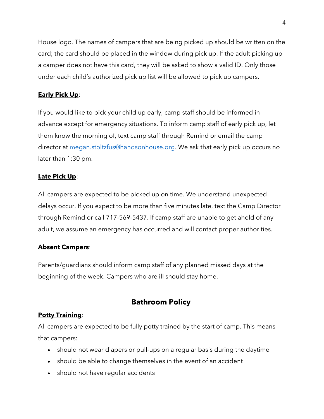House logo. The names of campers that are being picked up should be written on the card; the card should be placed in the window during pick up. If the adult picking up a camper does not have this card, they will be asked to show a valid ID. Only those under each child's authorized pick up list will be allowed to pick up campers.

# **Early Pick Up**:

If you would like to pick your child up early, camp staff should be informed in advance except for emergency situations. To inform camp staff of early pick up, let them know the morning of, text camp staff through Remind or email the camp director at [megan.stoltzfus@handsonhouse.org.](mailto:megan.stoltzfus@handsonhouse.org) We ask that early pick up occurs no later than 1:30 pm.

# **Late Pick Up**:

All campers are expected to be picked up on time. We understand unexpected delays occur. If you expect to be more than five minutes late, text the Camp Director through Remind or call 717-569-5437. If camp staff are unable to get ahold of any adult, we assume an emergency has occurred and will contact proper authorities.

# **Absent Campers**:

Parents/guardians should inform camp staff of any planned missed days at the beginning of the week. Campers who are ill should stay home.

# **Bathroom Policy**

# <span id="page-3-0"></span>**Potty Training**:

All campers are expected to be fully potty trained by the start of camp. This means that campers:

- should not wear diapers or pull-ups on a regular basis during the daytime
- should be able to change themselves in the event of an accident
- should not have regular accidents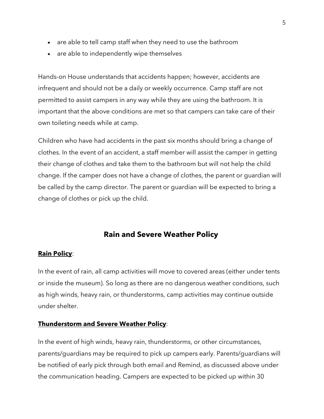- are able to tell camp staff when they need to use the bathroom
- are able to independently wipe themselves

Hands-on House understands that accidents happen; however, accidents are infrequent and should not be a daily or weekly occurrence. Camp staff are not permitted to assist campers in any way while they are using the bathroom. It is important that the above conditions are met so that campers can take care of their own toileting needs while at camp.

Children who have had accidents in the past six months should bring a change of clothes. In the event of an accident, a staff member will assist the camper in getting their change of clothes and take them to the bathroom but will not help the child change. If the camper does not have a change of clothes, the parent or guardian will be called by the camp director. The parent or guardian will be expected to bring a change of clothes or pick up the child.

# **Rain and Severe Weather Policy**

#### <span id="page-4-0"></span>**Rain Policy**:

In the event of rain, all camp activities will move to covered areas (either under tents or inside the museum). So long as there are no dangerous weather conditions, such as high winds, heavy rain, or thunderstorms, camp activities may continue outside under shelter.

#### **Thunderstorm and Severe Weather Policy**:

In the event of high winds, heavy rain, thunderstorms, or other circumstances, parents/guardians may be required to pick up campers early. Parents/guardians will be notified of early pick through both email and Remind, as discussed above under the communication heading. Campers are expected to be picked up within 30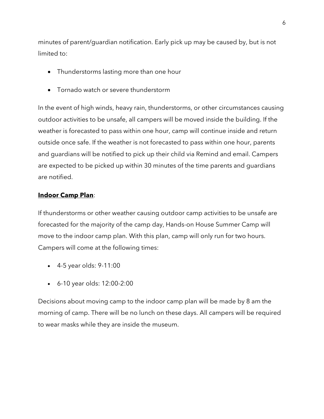minutes of parent/guardian notification. Early pick up may be caused by, but is not limited to:

- Thunderstorms lasting more than one hour
- Tornado watch or severe thunderstorm

In the event of high winds, heavy rain, thunderstorms, or other circumstances causing outdoor activities to be unsafe, all campers will be moved inside the building. If the weather is forecasted to pass within one hour, camp will continue inside and return outside once safe. If the weather is not forecasted to pass within one hour, parents and guardians will be notified to pick up their child via Remind and email. Campers are expected to be picked up within 30 minutes of the time parents and guardians are notified.

#### **Indoor Camp Plan**:

If thunderstorms or other weather causing outdoor camp activities to be unsafe are forecasted for the majority of the camp day, Hands-on House Summer Camp will move to the indoor camp plan. With this plan, camp will only run for two hours. Campers will come at the following times:

- 4-5 year olds: 9-11:00
- 6-10 year olds: 12:00-2:00

<span id="page-5-0"></span>Decisions about moving camp to the indoor camp plan will be made by 8 am the morning of camp. There will be no lunch on these days. All campers will be required to wear masks while they are inside the museum.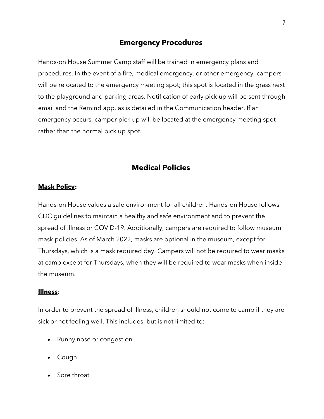# **Emergency Procedures**

Hands-on House Summer Camp staff will be trained in emergency plans and procedures. In the event of a fire, medical emergency, or other emergency, campers will be relocated to the emergency meeting spot; this spot is located in the grass next to the playground and parking areas. Notification of early pick up will be sent through email and the Remind app, as is detailed in the Communication header. If an emergency occurs, camper pick up will be located at the emergency meeting spot rather than the normal pick up spot.

# **Medical Policies**

#### <span id="page-6-0"></span>**Mask Policy:**

Hands-on House values a safe environment for all children. Hands-on House follows CDC guidelines to maintain a healthy and safe environment and to prevent the spread of illness or COVID-19. Additionally, campers are required to follow museum mask policies. As of March 2022, masks are optional in the museum, except for Thursdays, which is a mask required day. Campers will not be required to wear masks at camp except for Thursdays, when they will be required to wear masks when inside the museum.

#### **Illness**:

In order to prevent the spread of illness, children should not come to camp if they are sick or not feeling well. This includes, but is not limited to:

- Runny nose or congestion
- Cough
- Sore throat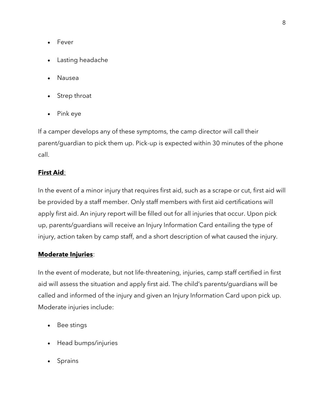- Fever
- Lasting headache
- Nausea
- Strep throat
- Pink eye

If a camper develops any of these symptoms, the camp director will call their parent/guardian to pick them up. Pick-up is expected within 30 minutes of the phone call.

### **First Aid**:

In the event of a minor injury that requires first aid, such as a scrape or cut, first aid will be provided by a staff member. Only staff members with first aid certifications will apply first aid. An injury report will be filled out for all injuries that occur. Upon pick up, parents/guardians will receive an Injury Information Card entailing the type of injury, action taken by camp staff, and a short description of what caused the injury.

#### **Moderate Injuries**:

In the event of moderate, but not life-threatening, injuries, camp staff certified in first aid will assess the situation and apply first aid. The child's parents/guardians will be called and informed of the injury and given an Injury Information Card upon pick up. Moderate injuries include:

- Bee stings
- Head bumps/injuries
- Sprains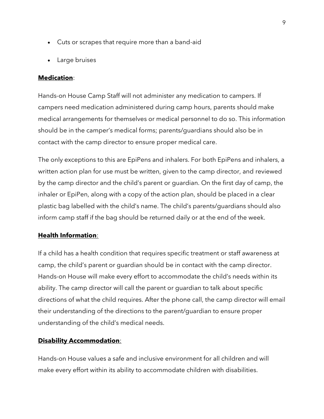- Cuts or scrapes that require more than a band-aid
- Large bruises

#### **Medication**:

Hands-on House Camp Staff will not administer any medication to campers. If campers need medication administered during camp hours, parents should make medical arrangements for themselves or medical personnel to do so. This information should be in the camper's medical forms; parents/guardians should also be in contact with the camp director to ensure proper medical care.

The only exceptions to this are EpiPens and inhalers. For both EpiPens and inhalers, a written action plan for use must be written, given to the camp director, and reviewed by the camp director and the child's parent or guardian. On the first day of camp, the inhaler or EpiPen, along with a copy of the action plan, should be placed in a clear plastic bag labelled with the child's name. The child's parents/guardians should also inform camp staff if the bag should be returned daily or at the end of the week.

#### **Health Information**:

If a child has a health condition that requires specific treatment or staff awareness at camp, the child's parent or guardian should be in contact with the camp director. Hands-on House will make every effort to accommodate the child's needs within its ability. The camp director will call the parent or guardian to talk about specific directions of what the child requires. After the phone call, the camp director will email their understanding of the directions to the parent/guardian to ensure proper understanding of the child's medical needs.

#### **Disability Accommodation**:

Hands-on House values a safe and inclusive environment for all children and will make every effort within its ability to accommodate children with disabilities.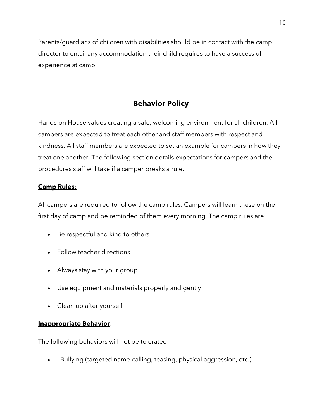Parents/guardians of children with disabilities should be in contact with the camp director to entail any accommodation their child requires to have a successful experience at camp.

# **Behavior Policy**

<span id="page-9-0"></span>Hands-on House values creating a safe, welcoming environment for all children. All campers are expected to treat each other and staff members with respect and kindness. All staff members are expected to set an example for campers in how they treat one another. The following section details expectations for campers and the procedures staff will take if a camper breaks a rule.

# **Camp Rules**:

All campers are required to follow the camp rules. Campers will learn these on the first day of camp and be reminded of them every morning. The camp rules are:

- Be respectful and kind to others
- Follow teacher directions
- Always stay with your group
- Use equipment and materials properly and gently
- Clean up after yourself

#### **Inappropriate Behavior**:

The following behaviors will not be tolerated:

• Bullying (targeted name-calling, teasing, physical aggression, etc.)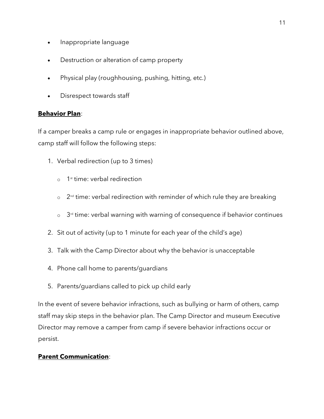- Inappropriate language
- Destruction or alteration of camp property
- Physical play (roughhousing, pushing, hitting, etc.)
- Disrespect towards staff

#### **Behavior Plan**:

If a camper breaks a camp rule or engages in inappropriate behavior outlined above, camp staff will follow the following steps:

- 1. Verbal redirection (up to 3 times)
	- o 1 st time: verbal redirection
	- $\circ$   $\,$  2nd time: verbal redirection with reminder of which rule they are breaking
	- $\circ$   $\,$  3<sup>rd</sup> time: verbal warning with warning of consequence if behavior continues
- 2. Sit out of activity (up to 1 minute for each year of the child's age)
- 3. Talk with the Camp Director about why the behavior is unacceptable
- 4. Phone call home to parents/guardians
- 5. Parents/guardians called to pick up child early

In the event of severe behavior infractions, such as bullying or harm of others, camp staff may skip steps in the behavior plan. The Camp Director and museum Executive Director may remove a camper from camp if severe behavior infractions occur or persist.

#### **Parent Communication**: